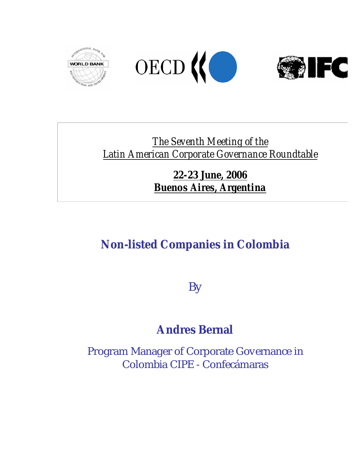





## *The Seventh Meeting of the Latin American Corporate Governance Roundtable*

### *22-23 June, 2006 Buenos Aires, Argentina*

# **Non-listed Companies in Colombia**

By

# **Andres Bernal**

Program Manager of Corporate Governance in Colombia CIPE - Confecámaras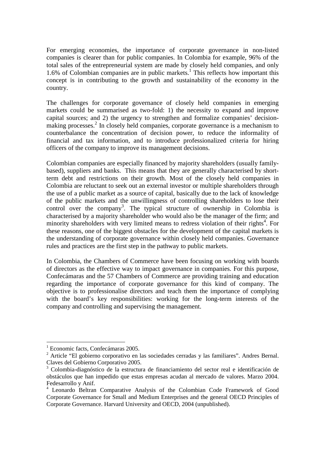For emerging economies, the importance of corporate governance in non-listed companies is clearer than for public companies. In Colombia for example, 96% of the total sales of the entrepreneurial system are made by closely held companies, and only 1.6% of Colombian companies are in public markets.<sup>1</sup> This reflects how important this concept is in contributing to the growth and sustainability of the economy in the country.

The challenges for corporate governance of closely held companies in emerging markets could be summarised as two-fold: 1) the necessity to expand and improve capital sources; and 2) the urgency to strengthen and formalize companies' decisionmaking processes.<sup>2</sup> In closely held companies, corporate governance is a mechanism to counterbalance the concentration of decision power, to reduce the informality of financial and tax information, and to introduce professionalized criteria for hiring officers of the company to improve its management decisions.

Colombian companies are especially financed by majority shareholders (usually familybased), suppliers and banks. This means that they are generally characterised by shortterm debt and restrictions on their growth. Most of the closely held companies in Colombia are reluctant to seek out an external investor or multiple shareholders through the use of a public market as a source of capital, basically due to the lack of knowledge of the public markets and the unwillingness of controlling shareholders to lose their control over the company<sup>3</sup>. The typical structure of ownership in Colombia is characterised by a majority shareholder who would also be the manager of the firm; and minority shareholders with very limited means to redress violation of their rights<sup>4</sup>. For these reasons, one of the biggest obstacles for the development of the capital markets is the understanding of corporate governance within closely held companies. Governance rules and practices are the first step in the pathway to public markets.

In Colombia, the Chambers of Commerce have been focusing on working with boards of directors as the effective way to impact governance in companies. For this purpose, Confecámaras and the 57 Chambers of Commerce are providing training and education regarding the importance of corporate governance for this kind of company. The objective is to professionalise directors and teach them the importance of complying with the board's key responsibilities: working for the long-term interests of the company and controlling and supervising the management.

<sup>1</sup> Economic facts, Confecámaras 2005.

<sup>&</sup>lt;sup>2</sup> Article "El gobierno corporativo en las sociedades cerradas y las familiares". Andres Bernal. Claves del Gobierno Corporativo 2005.

<sup>&</sup>lt;sup>3</sup> Colombia-diagnóstico de la estructura de financiamiento del sector real e identificación de obstáculos que han impedido que estas empresas acudan al mercado de valores. Marzo 2004. Fedesarrollo y Anif.

<sup>4</sup> Leonardo Beltran Comparative Analysis of the Colombian Code Framework of Good Corporate Governance for Small and Medium Enterprises and the general OECD Principles of Corporate Governance. Harvard University and OECD, 2004 (unpublished).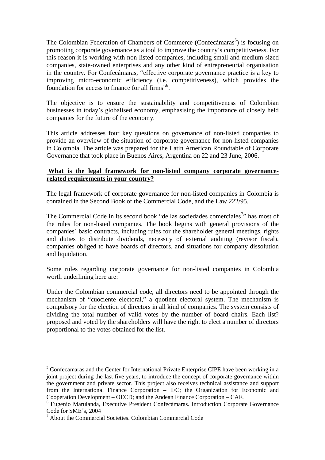The Colombian Federation of Chambers of Commerce (Confecámaras<sup>5</sup>) is focusing on promoting corporate governance as a tool to improve the country's competitiveness. For this reason it is working with non-listed companies, including small and medium-sized companies, state-owned enterprises and any other kind of entrepreneurial organisation in the country. For Confecámaras, "effective corporate governance practice is a key to improving micro-economic efficiency (i.e. competitiveness), which provides the foundation for access to finance for all firms"<sup>6</sup> .

The objective is to ensure the sustainability and competitiveness of Colombian businesses in today's globalised economy, emphasising the importance of closely held companies for the future of the economy.

This article addresses four key questions on governance of non-listed companies to provide an overview of the situation of corporate governance for non-listed companies in Colombia. The article was prepared for the Latin American Roundtable of Corporate Governance that took place in Buenos Aires, Argentina on 22 and 23 June, 2006.

#### **What is the legal framework for non-listed company corporate governancerelated requirements in your country?**

The legal framework of corporate governance for non-listed companies in Colombia is contained in the Second Book of the Commercial Code, and the Law 222/95.

The Commercial Code in its second book "de las sociedades comerciales<sup>7</sup>" has most of the rules for non-listed companies. The book begins with general provisions of the companies´ basic contracts, including rules for the shareholder general meetings, rights and duties to distribute dividends, necessity of external auditing (revisor fiscal), companies obliged to have boards of directors, and situations for company dissolution and liquidation.

Some rules regarding corporate governance for non-listed companies in Colombia worth underlining here are:

Under the Colombian commercial code, all directors need to be appointed through the mechanism of "cuociente electoral," a quotient electoral system. The mechanism is compulsory for the election of directors in all kind of companies. The system consists of dividing the total number of valid votes by the number of board chairs. Each list? proposed and voted by the shareholders will have the right to elect a number of directors proportional to the votes obtained for the list.

<sup>&</sup>lt;sup>5</sup> Confecamaras and the Center for International Private Enterprise CIPE have been working in a joint project during the last five years, to introduce the concept of corporate governance within the government and private sector. This project also receives technical assistance and support from the International Finance Corporation – IFC; the Organization for Economic and Cooperation Development – OECD; and the Andean Finance Corporation – CAF.

<sup>6</sup> Eugenio Marulanda, Executive President Confecámaras. Introduction Corporate Governance Code for SME´s, 2004

<sup>7</sup> About the Commercial Societies. Colombian Commercial Code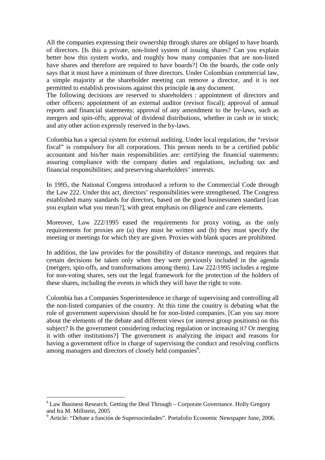All the companies expressing their ownership through shares are obliged to have boards of directors. [Is this a private, non-listed system of issuing shares? Can you explain better how this system works, and roughly how many companies that are non-listed have shares and therefore are required to have boards?] On the boards, the code only says that it must have a minimum of three directors. Under Colombian commercial law, a simple majority at the shareholder meeting can remove a director, and it is not permitted to establish provisions against this principle in any document.

The following decisions are reserved to shareholders : appointment of directors and other officers; appointment of an external auditor (revisor fiscal); approval of annual reports and financial statements; approval of any amendment to the by-laws, such as mergers and spin-offs; approval of dividend distributions, whether in cash or in stock; and any other action expressly reserved in the by-laws.

Colombia has a special system for external auditing. Under local regulation, the "revisor fiscal" is compulsory for all corporations. This person needs to be a certified public accountant and his/her main responsibilities are: certifying the financial statements; assuring compliance with the company duties and regulations, including tax and financial responsibilities; and preserving shareholders' interests.

In 1995, the National Congress introduced a reform to the Commercial Code through the Law 222. Under this act, directors' responsibilities were strengthened. The Congress established many standards for directors, based on the good businessmen standard [can you explain what you mean?], with great emphasis on diligence and care elements.

Moreover, Law 222/1995 eased the requirements for proxy voting, as the only requirements for proxies are (a) they must be written and (b) they must specify the meeting or meetings for which they are given. Proxies with blank spaces are prohibited.

In addition, the law provides for the possibility of distance meetings, and requires that certain decisions be taken only when they were previously included in the agenda (mergers, spin-offs, and transformations among them). Law 222/1995 includes a regime for non-voting shares, sets out the legal framework for the protection of the holders of these shares, including the events in which they will have the right to vote.

Colombia has a Companies Superintendence in charge of supervising and controlling all the non-listed companies of the country. At this time the country is debating what the role of government supervision should be for non-listed companies. [Can you say more about the elements of the debate and different views (or interest group positions) on this subject? Is the government considering reducing regulation or increasing it? Or merging it with other institutions?] The government is analyzing the impact and reasons for having a government office in charge of supervising the conduct and resolving conflicts among managers and directors of closely held companies<sup>9</sup>.

 $8$  Law Business Research. Getting the Deal Through – Corporate Governance. Holly Gregory and Ira M. Millstein, 2005

<sup>&</sup>lt;sup>9</sup> Article: "Debate a función de Supersociedades". Portafolio Economic Newspaper June, 2006.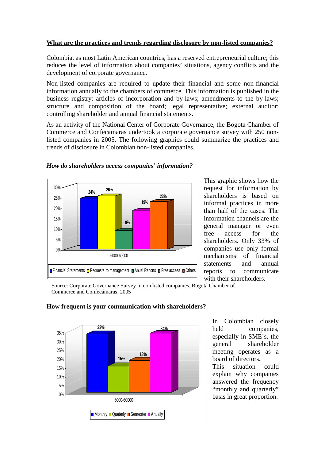#### **What are the practices and trends regarding disclosure by non-listed companies?**

Colombia, as most Latin American countries, has a reserved entrepreneurial culture; this reduces the level of information about companies' situations, agency conflicts and the development of corporate governance.

Non-listed companies are required to update their financial and some non-financial information annually to the chambers of commerce. This information is published in the business registry: articles of incorporation and by-laws; amendments to the by-laws; structure and composition of the board; legal representative; external auditor; controlling shareholder and annual financial statements.

As an activity of the National Center of Corporate Governance, the Bogota Chamber of Commerce and Confecamaras undertook a corporate governance survey with 250 nonlisted companies in 2005. The following graphics could summarize the practices and trends of disclosure in Colombian non-listed companies.



*How do shareholders access companies' information?* 

This graphic shows how the request for information by shareholders is based on informal practices in more than half of the cases. The information channels are the general manager or even free access for the shareholders. Only 33% of companies use only formal mechanisms of financial statements and annual reports to communicate with their shareholders.

Source: Corporate Governance Survey in non listed companies. Bogotá Chamber of Commerce and Confecámaras, 2005



#### **How frequent is your communication with shareholders?**

In Colombian closely held companies, especially in SME´s, the general shareholder meeting operates as a board of directors. This situation could explain why companies answered the frequency "monthly and quarterly" basis in great proportion.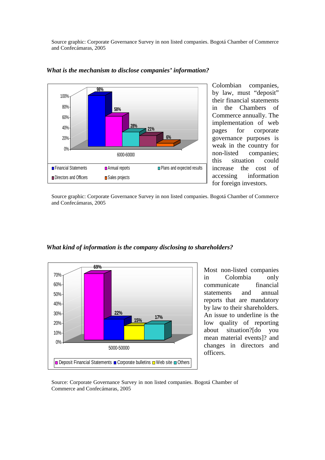Source graphic: Corporate Governance Survey in non listed companies. Bogotá Chamber of Commerce and Confecámaras, 2005



*What is the mechanism to disclose companies' information?* 

Colombian companies, by law, must "deposit" their financial statements in the Chambers of Commerce annually. The implementation of web pages for corporate governance purposes is weak in the country for non-listed companies; this situation could increase the cost of accessing information for foreign investors.

Source graphic: Corporate Governance Survey in non listed companies. Bogotá Chamber of Commerce and Confecámaras, 2005



#### *What kind of information is the company disclosing to shareholders?*

Most non-listed companies in Colombia only communicate financial statements and annual reports that are mandatory by law to their shareholders. An issue to underline is the low quality of reporting about situation?[do you mean material events]? and changes in directors and officers.

Source: Corporate Governance Survey in non listed companies. Bogotá Chamber of Commerce and Confecámaras, 2005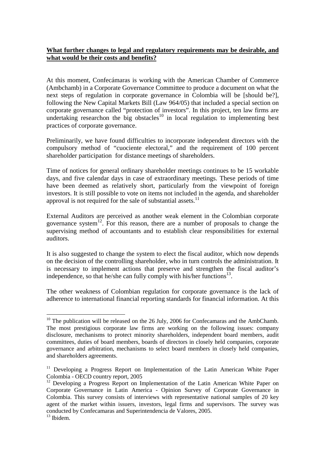#### **What further changes to legal and regulatory requirements may be desirable, and what would be their costs and benefits?**

At this moment, Confecámaras is working with the American Chamber of Commerce (Ambchamb) in a Corporate Governance Committee to produce a document on what the next steps of regulation in corporate governance in Colombia will be [should be?], following the New Capital Markets Bill (Law 964/05) that included a special section on corporate governance called "protection of investors". In this project, ten law firms are undertaking researchon the big obstacles<sup>10</sup> in local regulation to implementing best practices of corporate governance.

Preliminarily, we have found difficulties to incorporate independent directors with the compulsory method of "cuociente electoral," and the requirement of 100 percent shareholder participation for distance meetings of shareholders.

Time of notices for general ordinary shareholder meetings continues to be 15 workable days, and five calendar days in case of extraordinary meetings. These periods of time have been deemed as relatively short, particularly from the viewpoint of foreign investors. It is still possible to vote on items not included in the agenda, and shareholder approval is not required for the sale of substantial assets.<sup>11</sup>

External Auditors are perceived as another weak element in the Colombian corporate governance system<sup>12</sup>. For this reason, there are a number of proposals to change the supervising method of accountants and to establish clear responsibilities for external auditors.

It is also suggested to change the system to elect the fiscal auditor, which now depends on the decision of the controlling shareholder, who in turn controls the administration. It is necessary to implement actions that preserve and strengthen the fiscal auditor's independence, so that he/she can fully comply with his/her functions $13$ .

The other weakness of Colombian regulation for corporate governance is the lack of adherence to international financial reporting standards for financial information. At this

 $10$  The publication will be released on the 26 July, 2006 for Confecamaras and the AmbChamb. The most prestigious corporate law firms are working on the following issues: company disclosure, mechanisms to protect minority shareholders, independent board members, audit committees, duties of board members, boards of directors in closely held companies, corporate governance and arbitration, mechanisms to select board members in closely held companies, and shareholders agreements.

 $11$  Developing a Progress Report on Implementation of the Latin American White Paper Colombia - OECD country report, 2005

<sup>&</sup>lt;sup>12</sup> Developing a Progress Report on Implementation of the Latin American White Paper on Corporate Governance in Latin America - Opinion Survey of Corporate Governance in Colombia. This survey consists of interviews with representative national samples of 20 key agent of the market within issuers, investors, legal firms and supervisors. The survey was conducted by Confecamaras and Superintendencia de Valores, 2005.

<sup>&</sup>lt;sup>13</sup> Ibidem.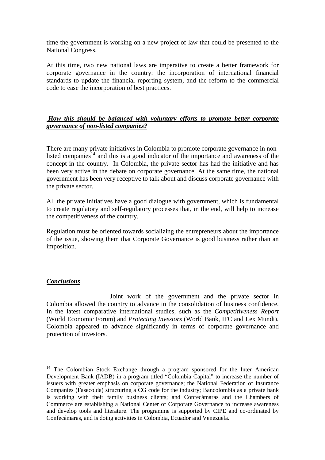time the government is working on a new project of law that could be presented to the National Congress.

At this time, two new national laws are imperative to create a better framework for corporate governance in the country: the incorporation of international financial standards to update the financial reporting system, and the reform to the commercial code to ease the incorporation of best practices.

#### *How this should be balanced with voluntary efforts to promote better corporate governance of non-listed companies?*

There are many private initiatives in Colombia to promote corporate governance in nonlisted companies<sup>14</sup> and this is a good indicator of the importance and awareness of the concept in the country. In Colombia, the private sector has had the initiative and has been very active in the debate on corporate governance. At the same time, the national government has been very receptive to talk about and discuss corporate governance with the private sector.

All the private initiatives have a good dialogue with government, which is fundamental to create regulatory and self-regulatory processes that, in the end, will help to increase the competitiveness of the country.

Regulation must be oriented towards socializing the entrepreneurs about the importance of the issue, showing them that Corporate Governance is good business rather than an imposition.

#### *Conclusions*

 $\overline{a}$ 

 Joint work of the government and the private sector in Colombia allowed the country to advance in the consolidation of business confidence. In the latest comparative international studies, such as the *Competitiveness Report* (World Economic Forum) and *Protecting Investors* (World Bank, IFC and Lex Mundi), Colombia appeared to advance significantly in terms of corporate governance and protection of investors.

<sup>&</sup>lt;sup>14</sup> The Colombian Stock Exchange through a program sponsored for the Inter American Development Bank (IADB) in a program titled "Colombia Capital" to increase the number of issuers with greater emphasis on corporate governance; the National Federation of Insurance Companies (Fasecolda) structuring a CG code for the industry; Bancolombia as a private bank is working with their family business clients; and Confecámaras and the Chambers of Commerce are establishing a National Center of Corporate Governance to increase awareness and develop tools and literature. The programme is supported by CIPE and co-ordinated by Confecámaras, and is doing activities in Colombia, Ecuador and Venezuela.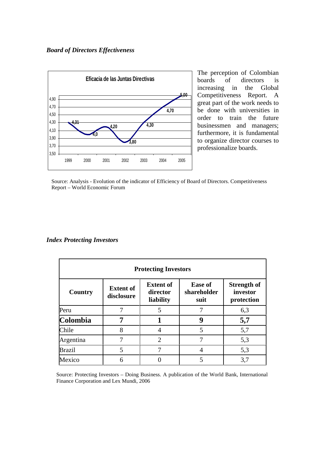

The perception of Colombian boards of directors is increasing in the Global Competitiveness Report. A great part of the work needs to be done with universities in order to train the future businessmen and managers; furthermore, it is fundamental to organize director courses to professionalize boards.

Source: Analysis - Evolution of the indicator of Efficiency of Board of Directors. Competitiveness Report – World Economic Forum

#### *Index Protecting Investors*

| <b>Protecting Investors</b> |                                |                                           |                                       |                                              |
|-----------------------------|--------------------------------|-------------------------------------------|---------------------------------------|----------------------------------------------|
| Country                     | <b>Extent of</b><br>disclosure | <b>Extent of</b><br>director<br>liability | <b>Ease of</b><br>shareholder<br>suit | <b>Strength of</b><br>investor<br>protection |
| Peru                        | 7                              | 5                                         | 7                                     | 6,3                                          |
| Colombia                    | 7                              |                                           | 9                                     | 5,7                                          |
| Chile                       | 8                              | 4                                         | 5                                     | 5,7                                          |
| Argentina                   | 7                              | 2                                         | 7                                     | 5,3                                          |
| <b>Brazil</b>               | 5                              | 7                                         | $\overline{4}$                        | 5,3                                          |
| Mexico                      | 6                              |                                           |                                       | 3,7                                          |

Source: Protecting Investors – Doing Business. A publication of the World Bank, International Finance Corporation and Lex Mundi, 2006